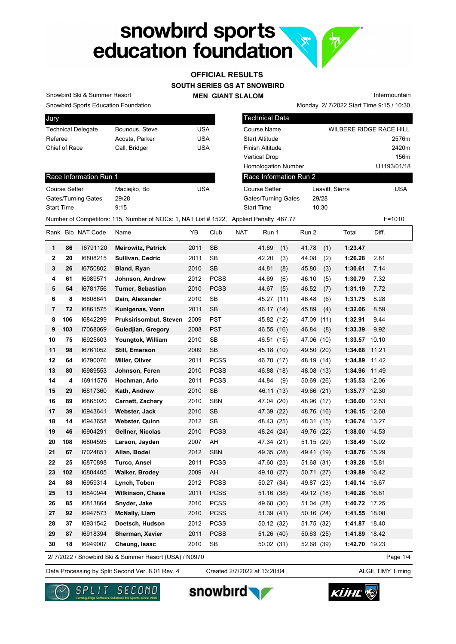# snowbird sports<br>education foundation

# **SOUTH SERIES GS AT SNOWBIRD OFFICIAL RESULTS**

**MEN GIANT SLALOM**

Monday 2/ 7/2022 Start Time 9:15 / 10:30 Intermountain

Snowbird Sports Education Foundation Snowbird Ski & Summer Resort

| <b>Jury</b>               |                |            |
|---------------------------|----------------|------------|
| <b>Technical Delegate</b> | Bounous, Steve | USA        |
| Referee                   | Acosta, Parker | <b>USA</b> |
| Chief of Race             | Call, Bridger  | USA        |
|                           |                |            |

| Jury                      |                                                                                       |            | Technical Data             |                         |             |
|---------------------------|---------------------------------------------------------------------------------------|------------|----------------------------|-------------------------|-------------|
| <b>Technical Delegate</b> | Bounous, Steve                                                                        | <b>USA</b> | Course Name                | WILBERE RIDGE RACE HILL |             |
| Referee                   | Acosta, Parker                                                                        | <b>USA</b> | <b>Start Altitude</b>      |                         | 2576m       |
| Chief of Race             | Call, Bridger                                                                         | <b>USA</b> | Finish Altitude            |                         | 2420m       |
|                           |                                                                                       |            | <b>Vertical Drop</b>       |                         | 156m        |
|                           |                                                                                       |            | <b>Homologation Number</b> |                         | U1193/01/18 |
| Race Information Run 1    |                                                                                       |            | Race Information Run 2     |                         |             |
| <b>Course Setter</b>      | Maciejko, Bo                                                                          | <b>USA</b> | Course Setter              | Leavitt. Sierra         | <b>USA</b>  |
| Gates/Turning Gates       | 29/28                                                                                 |            | Gates/Turning Gates        | 29/28                   |             |
| <b>Start Time</b>         | 9:15                                                                                  |            | <b>Start Time</b>          | 10:30                   |             |
|                           | Number of Competitors: 115, Number of NOCs: 1, NAT List #1522, Applied Penalty 467.77 |            |                            |                         | $F = 1010$  |

### Race Information Run 1

| <b>Course Setter</b> | Maciejko, Bo | <b>USA</b> |
|----------------------|--------------|------------|
| Gates/Turning Gates  | 29/28        |            |
| <b>Start Time</b>    | 9.15         |            |

|    |     | Rank Bib NAT Code | Name                      | YB   | Club        | <b>NAT</b> | Run 1         | Run 2         | Total         | Diff. |
|----|-----|-------------------|---------------------------|------|-------------|------------|---------------|---------------|---------------|-------|
| 1  | 86  | 16791120          | <b>Meirowitz, Patrick</b> | 2011 | <b>SB</b>   |            | 41.69<br>(1)  | 41.78<br>(1)  | 1:23.47       |       |
| 2  | 20  | 16808215          | Sullivan, Cedric          | 2011 | <b>SB</b>   |            | 42.20<br>(3)  | 44.08<br>(2)  | 1:26.28       | 2.81  |
| 3  | 26  | 16750802          | Bland, Ryan               | 2010 | <b>SB</b>   |            | 44.81<br>(8)  | 45.80<br>(3)  | 1:30.61       | 7.14  |
| 4  | 61  | 16989571          | Johnson, Andrew           | 2012 | <b>PCSS</b> |            | 44.69<br>(6)  | 46.10<br>(5)  | 1:30.79       | 7.32  |
| 5  | 54  | 16781756          | <b>Turner, Sebastian</b>  | 2010 | <b>PCSS</b> |            | 44.67<br>(5)  | 46.52<br>(7)  | 1:31.19       | 7.72  |
| 6  | 8   | 16608641          | Dain, Alexander           | 2010 | <b>SB</b>   |            | 45.27<br>(11) | 46.48<br>(6)  | 1:31.75       | 8.28  |
| 7  | 72  | 16861575          | Kunigenas, Vonn           | 2011 | <b>SB</b>   |            | 46.17 (14)    | 45.89<br>(4)  | 1:32.06       | 8.59  |
| 8  | 106 | 16842299          | Pruksirisombut, Steven    | 2009 | <b>PST</b>  |            | 45.82 (12)    | 47.09<br>(11) | 1:32.91       | 9.44  |
| 9  | 103 | 17068069          | Guledjian, Gregory        | 2008 | <b>PST</b>  |            | 46.55 (16)    | 46.84<br>(8)  | 1:33.39       | 9.92  |
| 10 | 75  | 16925603          | Youngtok, William         | 2010 | <b>SB</b>   |            | 46.51 (15)    | 47.06 (10)    | 1:33.57       | 10.10 |
| 11 | 98  | 16761052          | Still, Emerson            | 2009 | <b>SB</b>   |            | 45.18 (10)    | 49.50 (20)    | 1:34.68       | 11.21 |
| 12 | 64  | 16790076          | Miller, Oliver            | 2011 | <b>PCSS</b> |            | 46.70 (17)    | 48.19<br>(14) | 1:34.89       | 11.42 |
| 13 | 80  | 16989553          | Johnson, Feren            | 2010 | <b>PCSS</b> |            | 46.88 (18)    | 48.08 (13)    | 1:34.96       | 11.49 |
| 14 | 4   | 16911576          | Hochman, Arlo             | 2011 | <b>PCSS</b> |            | 44.84<br>(9)  | 50.69 (26)    | 1:35.53 12.06 |       |
| 15 | 29  | 16617360          | Kath, Andrew              | 2010 | <b>SB</b>   |            | 46.11 (13)    | 49.66 (21)    | 1:35.77 12.30 |       |
| 16 | 89  | 16865020          | <b>Carnett, Zachary</b>   | 2010 | <b>SBN</b>  |            | 47.04 (20)    | 48.96 (17)    | 1:36.00       | 12.53 |
| 17 | 39  | 16943641          | Webster, Jack             | 2010 | <b>SB</b>   |            | 47.39 (22)    | 48.76 (16)    | 1:36.15 12.68 |       |
| 18 | 14  | 16943658          | <b>Webster, Quinn</b>     | 2012 | <b>SB</b>   |            | 48.43 (25)    | 48.31 (15)    | 1:36.74 13.27 |       |
| 19 | 46  | 16904291          | Gellner, Nicolas          | 2010 | <b>PCSS</b> |            | 48.24 (24)    | 49.76 (22)    | 1:38.00       | 14.53 |
| 20 | 108 | 16804595          | Larson, Jayden            | 2007 | AH          |            | 47.34 (21)    | 51.15 (29)    | 1:38.49 15.02 |       |
| 21 | 67  | 17024851          | Allan, Bodei              | 2012 | <b>SBN</b>  |            | 49.35 (28)    | 49.41 (19)    | 1:38.76 15.29 |       |
| 22 | 25  | 16870898          | <b>Turco, Ansel</b>       | 2011 | <b>PCSS</b> |            | 47.60 (23)    | 51.68 (31)    | 1:39.28       | 15.81 |
| 23 | 102 | 16804405          | <b>Walker, Brodey</b>     | 2009 | AH          |            | 49.18 (27)    | 50.71 (27)    | 1:39.89       | 16.42 |
| 24 | 88  | 16959314          | Lynch, Toben              | 2012 | <b>PCSS</b> |            | 50.27 (34)    | 49.87 (23)    | 1:40.14 16.67 |       |
| 25 | 13  | 16840944          | <b>Wilkinson, Chase</b>   | 2011 | <b>PCSS</b> |            | 51.16 (38)    | 49.12 (18)    | 1:40.28       | 16.81 |
| 26 | 85  | 16813864          | Snyder, Jake              | 2010 | <b>PCSS</b> |            | 49.68 (30)    | 51.04 (28)    | 1:40.72 17.25 |       |
| 27 | 92  | 16947573          | <b>McNally, Liam</b>      | 2010 | <b>PCSS</b> |            | 51.39(41)     | 50.16(24)     | 1:41.55 18.08 |       |
| 28 | 37  | 16931542          | Doetsch, Hudson           | 2012 | <b>PCSS</b> |            | 50.12 (32)    | 51.75 (32)    | 1:41.87 18.40 |       |
| 29 | 87  | 16918394          | Sherman, Xavier           | 2011 | <b>PCSS</b> |            | 51.26 (40)    | 50.63(25)     | 1:41.89       | 18.42 |
| 30 | 18  | 16949007          | Cheung, Isaac             | 2010 | <b>SB</b>   |            | 50.02 (31)    | 52.68 (39)    | 1:42.70 19.23 |       |

2/ 7/2022 / Snowbird Ski & Summer Resort (USA) / N0970

Page 1/4

Data Processing by Split Second Ver. 8.01 Rev. 4 Created 2/7/2022 at 13:20:04 ALGE TIMY Timing

Created 2/7/2022 at 13:20:04







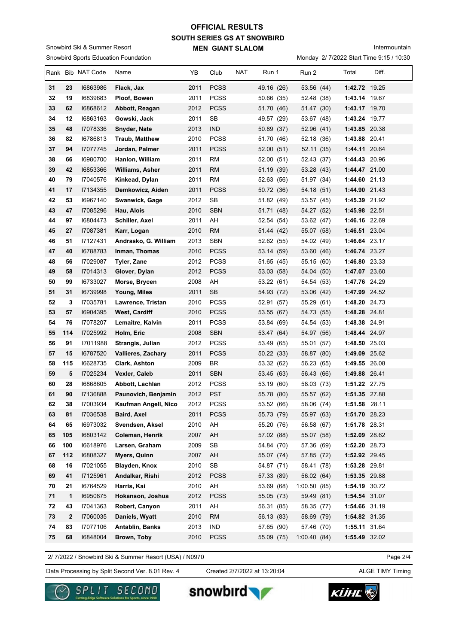### **SOUTH SERIES GS AT SNOWBIRD MEN GIANT SLALOM OFFICIAL RESULTS**

Snowbird Sports Education Foundation Snowbird Ski & Summer Resort

Intermountain

Monday 2/ 7/2022 Start Time 9:15 / 10:30

|          |           | Rank Bib NAT Code    | Name                                       | YΒ           | Club                     | NAT | Run 1                    | Run 2                    | Total                          | Diff. |
|----------|-----------|----------------------|--------------------------------------------|--------------|--------------------------|-----|--------------------------|--------------------------|--------------------------------|-------|
| 31       | 23        | 16863986             | Flack, Jax                                 | 2011         | <b>PCSS</b>              |     | 49.16 (26)               | 53.56 (44)               | 1:42.72 19.25                  |       |
| 32       | 19        | 16839683             | Ploof, Bowen                               | 2011         | <b>PCSS</b>              |     | 50.66 (35)               | 52.48 (38)               | 1:43.14 19.67                  |       |
| 33       | 62        | 16868612             | Abbott, Reagan                             | 2012         | <b>PCSS</b>              |     | 51.70 (46)               | 51.47 (30)               | 1:43.17 19.70                  |       |
| 34       | 12        | 16863163             | Gowski, Jack                               | 2011         | <b>SB</b>                |     | 49.57 (29)               | 53.67 (48)               | 1:43.24 19.77                  |       |
| 35       | 48        | 17078336             | Snyder, Nate                               | 2013         | <b>IND</b>               |     | 50.89 (37)               | 52.96 (41)               | 1:43.85 20.38                  |       |
| 36       | 82        | 16786813             | <b>Traub, Matthew</b>                      | 2010         | <b>PCSS</b>              |     | 51.70 (46)               | 52.18 (36)               | 1:43.88 20.41                  |       |
| 37       | 94        | 17077745             | Jordan, Palmer                             | 2011         | <b>PCSS</b>              |     | 52.00 (51)               | 52.11 (35)               | 1:44.11 20.64                  |       |
| 38       | 66        | 16980700             | Hanlon, William                            | 2011         | RM                       |     | 52.00 (51)               | 52.43 (37)               | 1:44.43 20.96                  |       |
| 39       | 42        | 16853366             | Williams, Asher                            | 2011         | <b>RM</b>                |     | 51.19 (39)               | 53.28 (43)               | 1:44.47 21.00                  |       |
| 40       | 79        | 17040576             | Kinkead, Dylan                             | 2011         | RM                       |     | 52.63 (56)               | 51.97 (34)               | 1:44.60 21.13                  |       |
| 41       | 17        | 17134355             | Demkowicz, Aiden                           | 2011         | <b>PCSS</b>              |     | 50.72 (36)               | 54.18 (51)               | 1:44.90 21.43                  |       |
| 42       | 53        | 16967140             | Swanwick, Gage                             | 2012         | SB                       |     | 51.82 (49)               | 53.57 (45)               | 1:45.39 21.92                  |       |
| 43       | 47        | 17085296             | Hau, Alois                                 | 2010         | <b>SBN</b>               |     | 51.71 (48)               | 54.27 (52)               | 1:45.98 22.51                  |       |
| 44       | 97        | 16804473             | Schiller, Axel                             | 2011         | AH                       |     | 52.54 (54)               | 53.62 (47)               | 1:46.16 22.69                  |       |
| 45       | 27        | 17087381             | Karr, Logan                                | 2010         | <b>RM</b>                |     | 51.44 (42)               | 55.07 (58)               | 1:46.51 23.04                  |       |
| 46       | 51        | 17127431             | Andrasko, G. William                       | 2013         | <b>SBN</b>               |     | 52.62 (55)               | 54.02 (49)               | 1:46.64 23.17                  |       |
| 47       | 40        | 16788783             | Inman, Thomas                              | 2010         | <b>PCSS</b>              |     | 53.14 (59)               | 53.60 (46)               | 1:46.74 23.27                  |       |
| 48       | 56        | 17029087             | Tyler, Zane                                | 2012         | <b>PCSS</b>              |     | 51.65(45)                | 55.15 (60)               | 1:46.80 23.33                  |       |
| 49       | 58        | 17014313             | Glover, Dylan                              | 2012         | <b>PCSS</b>              |     | 53.03 (58)               | 54.04 (50)               | 1:47.07 23.60                  |       |
| 50       | 99        | 16733027             | Morse, Brycen                              | 2008         | AH                       |     | 53.22 (61)               | 54.54 (53)               | 1:47.76 24.29                  |       |
| 51       | 31        | 16739998             | Young, Miles                               | 2011         | SВ                       |     | 54.93 (72)               | 53.06 (42)               | 1:47.99 24.52                  |       |
| 52       | 3         | 17035781             | Lawrence, Tristan                          | 2010         | <b>PCSS</b>              |     | 52.91 (57)               | 55.29 (61)               | 1:48.20 24.73                  |       |
| 53       | 57        | 16904395             | West, Cardiff                              | 2010         | <b>PCSS</b>              |     | 53.55 (67)               | 54.73 (55)               | 1:48.28 24.81                  |       |
| 54       | 76        | 17078207             | Lemaitre, Kalvin                           | 2011         | <b>PCSS</b>              |     | 53.84 (69)               | 54.54 (53)               | 1:48.38 24.91                  |       |
| 55       | 114       | 17025992             | Holm, Eric                                 | 2008         | <b>SBN</b>               |     | 53.47 (64)               | 54.97 (56)               | 1:48.44 24.97                  |       |
| 56       | 91        | 17011988             | Strangis, Julian                           | 2012         | <b>PCSS</b>              |     | 53.49 (65)               | 55.01 (57)               | 1:48.50 25.03                  |       |
| 57<br>58 | 15<br>115 | 16787520<br>16628735 | <b>Vallieres, Zachary</b><br>Clark, Ashton | 2011         | <b>PCSS</b><br><b>BR</b> |     | 50.22 (33)               | 58.87 (80)<br>56.23 (65) | 1:49.09 25.62<br>1:49.55 26.08 |       |
| 59       | 5         | 17025234             | Vexler, Caleb                              | 2009<br>2011 | <b>SBN</b>               |     | 53.32 (62)<br>53.45 (63) | 56.43 (66)               | 1:49.88 26.41                  |       |
| 60       | 28        | 16868605             | Abbott, Lachlan                            | 2012         | <b>PCSS</b>              |     | 53.19 (60)               | 58.03 (73)               | 1:51.22 27.75                  |       |
| 61       | 90        | 17136888             | Paunovich, Benjamin                        | 2012         | <b>PST</b>               |     | 55.78 (80)               | 55.57 (62)               | 1:51.35 27.88                  |       |
| 62       | 38        | 17003934             | Kaufman Angell, Nico                       | 2012         | PCSS                     |     | 53.52 (66)               | 58.06 (74)               | 1:51.58 28.11                  |       |
| 63       | 81        | 17036538             | Baird, Axel                                | 2011         | <b>PCSS</b>              |     | 55.73 (79)               | 55.97 (63)               | 1:51.70 28.23                  |       |
| 64       | 65        | 16973032             | Svendsen, Aksel                            | 2010         | AH                       |     | 55.20 (76)               | 56.58 (67)               | 1:51.78 28.31                  |       |
| 65       | 105       | 16803142             | Coleman, Henrik                            | 2007         | AH                       |     | 57.02 (88)               | 55.07 (58)               | 1:52.09 28.62                  |       |
| 66       | 100       | 16618976             | Larsen, Graham                             | 2009         | SB                       |     | 54.84 (70)               | 57.36 (69)               | 1:52.20 28.73                  |       |
| 67       | 112       | 16808327             | Myers, Quinn                               | 2007         | AH                       |     | 55.07 (74)               | 57.85 (72)               | 1:52.92 29.45                  |       |
| 68       | 16        | 17021055             | Blayden, Knox                              | 2010         | <b>SB</b>                |     | 54.87 (71)               | 58.41 (78)               | 1:53.28 29.81                  |       |
| 69       | 41        | 17125961             | Andalkar, Rishi                            | 2012         | <b>PCSS</b>              |     | 57.33 (89)               | 56.02 (64)               | 1:53.35 29.88                  |       |
| 70       | 21        | 16764529             | Harris, Kai                                | 2010         | AH                       |     | 53.69 (68)               | 1:00.50(85)              | 1:54.19 30.72                  |       |
| 71       | 1         | 16950875             | Hokanson, Joshua                           | 2012         | <b>PCSS</b>              |     | 55.05 (73)               | 59.49 (81)               | 1:54.54 31.07                  |       |
| 72       | 43        | 17041363             | Robert, Canyon                             | 2011         | AH                       |     | 56.31 (85)               | 58.35 (77)               | 1:54.66 31.19                  |       |
| 73       | 2         | 17060035             | Daniels, Wyatt                             | 2010         | <b>RM</b>                |     | 56.13 (83)               | 58.69 (79)               | 1:54.82 31.35                  |       |
| 74       | 83        | 17077106             | Antablin, Banks                            | 2013         | <b>IND</b>               |     | 57.65 (90)               | 57.46 (70)               | 1:55.11 31.64                  |       |
| 75       | 68        | 16848004             | Brown, Toby                                | 2010         | <b>PCSS</b>              |     | 55.09 (75)               | 1:00.40(84)              | 1:55.49 32.02                  |       |

2/ 7/2022 / Snowbird Ski & Summer Resort (USA) / N0970

Page 2/4

Data Processing by Split Second Ver. 8.01 Rev. 4 Created 2/7/2022 at 13:20:04 ALGE TIMY Timing

Created 2/7/2022 at 13:20:04



snowbird

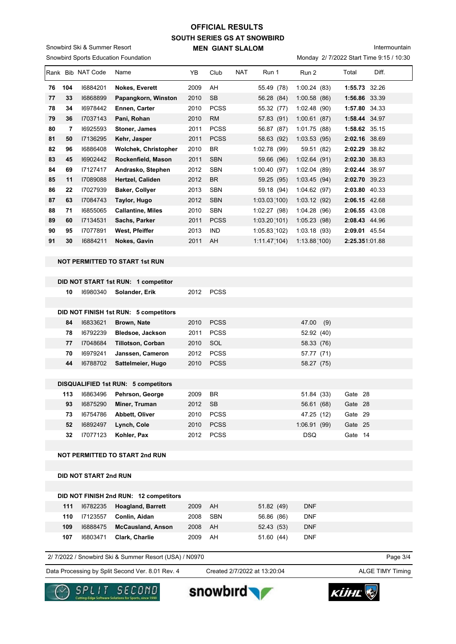### **SOUTH SERIES GS AT SNOWBIRD MEN GIANT SLALOM OFFICIAL RESULTS**

Snowbird Sports Education Foundation Snowbird Ski & Summer Resort

Intermountain

Monday 2/ 7/2022 Start Time 9:15 / 10:30

| Rank | <b>Bib</b> | NAT Code | Name                        | YB   | Club        | <b>NAT</b> | Run 1        | Run 2           | Total          | Diff. |
|------|------------|----------|-----------------------------|------|-------------|------------|--------------|-----------------|----------------|-------|
| 76   | 104        | 16884201 | <b>Nokes, Everett</b>       | 2009 | AH          |            | 55.49 (78)   | 1:00.24(83)     | 1:55.73        | 32.26 |
| 77   | 33         | 16868899 | Papangkorn, Winston         | 2010 | <b>SB</b>   |            | 56.28 (84)   | 1:00.58(86)     | 1:56.86 33.39  |       |
| 78   | 34         | 16978442 | Ennen, Carter               | 2010 | <b>PCSS</b> |            | 55.32 (77)   | 1:02.48<br>(90) | 1:57.80        | 34.33 |
| 79   | 36         | 17037143 | Pani, Rohan                 | 2010 | <b>RM</b>   |            | 57.83 (91)   | 1:00.61(87)     | 1:58.44 34.97  |       |
| 80   | 7          | 16925593 | Stoner, James               | 2011 | <b>PCSS</b> |            | 56.87 (87)   | 1:01.75(88)     | 1:58.62 35.15  |       |
| 81   | 50         | 17136295 | Kehr, Jasper                | 2011 | <b>PCSS</b> |            | 58.63 (92)   | 1:03.53(95)     | 2:02.16 38.69  |       |
| 82   | 96         | 16886408 | <b>Wolchek, Christopher</b> | 2010 | <b>BR</b>   |            | 1:02.78 (99) | 59.51 (82)      | 2:02.29 38.82  |       |
| 83   | 45         | 16902442 | Rockenfield, Mason          | 2011 | <b>SBN</b>  |            | 59.66 (96)   | 1:02.64(91)     | 2:02.30 38.83  |       |
| 84   | 69         | 17127417 | Andrasko, Stephen           | 2012 | <b>SBN</b>  |            | 1:00.40(97)  | 1:02.04(89)     | 2:02.44 38.97  |       |
| 85   | 11         | 17089088 | Hertzel, Caliden            | 2012 | <b>BR</b>   |            | 59.25 (95)   | 1:03.45(94)     | 2:02.70 39.23  |       |
| 86   | 22         | 17027939 | Baker, Collyer              | 2013 | <b>SBN</b>  |            | 59.18 (94)   | 1:04.62(97)     | 2:03.80 40.33  |       |
| 87   | 63         | 17084743 | Taylor, Hugo                | 2012 | <b>SBN</b>  |            | 1:03.03(100) | 1:03.12(92)     | 2:06.15 42.68  |       |
| 88   | 71         | 16855065 | <b>Callantine, Miles</b>    | 2010 | <b>SBN</b>  |            | 1:02.27(98)  | 1:04.28(96)     | 2:06.55 43.08  |       |
| 89   | 60         | 17134531 | Sachs, Parker               | 2011 | <b>PCSS</b> |            | 1:03.20(101) | 1:05.23(98)     | 2:08.43 44.96  |       |
| 90   | 95         | 17077891 | West, Pfeiffer              | 2013 | <b>IND</b>  |            | 1:05.83(102) | 1:03.18(93)     | 2:09.01 45.54  |       |
| 91   | 30         | 16884211 | Nokes, Gavin                | 2011 | AH          |            | 1:11.47(104) | 1:13.88(100)    | 2:25.351.01.88 |       |
|      |            |          |                             |      |             |            |              |                 |                |       |

### **NOT PERMITTED TO START 1st RUN**

|     |                              | DID NOT START 1st RUN: 1 competitor        |      |             |              |            |         |  |
|-----|------------------------------|--------------------------------------------|------|-------------|--------------|------------|---------|--|
| 10  | 16980340                     | Solander, Erik                             |      | 2012 PCSS   |              |            |         |  |
|     |                              |                                            |      |             |              |            |         |  |
|     |                              | DID NOT FINISH 1st RUN: 5 competitors      |      |             |              |            |         |  |
| 84  | 16833621                     | Brown, Nate                                | 2010 | <b>PCSS</b> | 47.00 (9)    |            |         |  |
| 78  | 16792239                     | <b>Bledsoe, Jackson</b>                    | 2011 | <b>PCSS</b> | 52.92 (40)   |            |         |  |
| 77  | 17048684                     | Tillotson, Corban                          | 2010 | SOL         | 58.33 (76)   |            |         |  |
| 70  | 16979241                     | Janssen, Cameron                           | 2012 | <b>PCSS</b> | 57.77 (71)   |            |         |  |
| 44  | 16788702                     | Sattelmeier, Hugo                          | 2010 | <b>PCSS</b> | 58.27 (75)   |            |         |  |
|     |                              |                                            |      |             |              |            |         |  |
|     |                              | <b>DISQUALIFIED 1st RUN: 5 competitors</b> |      |             |              |            |         |  |
| 113 | 16863496                     | Pehrson, George                            | 2009 | <b>BR</b>   |              | 51.84 (33) | Gate 28 |  |
| 93  | 16875290                     | Miner, Truman                              | 2012 | <b>SB</b>   |              | 56.61 (68) | Gate 28 |  |
| 73  | 16754786                     | Abbett, Oliver                             | 2010 | <b>PCSS</b> |              | 47.25 (12) | Gate 29 |  |
| 52  | 16892497                     | Lynch, Cole                                | 2010 | <b>PCSS</b> | 1:06.91 (99) |            | Gate 25 |  |
| 32  | 17077123                     | Kohler, Pax                                | 2012 | <b>PCSS</b> | <b>DSQ</b>   |            | Gate 14 |  |
|     |                              |                                            |      |             |              |            |         |  |
|     |                              | <b>NOT PERMITTED TO START 2nd RUN</b>      |      |             |              |            |         |  |
|     |                              |                                            |      |             |              |            |         |  |
|     | <b>DID NOT START 2nd RUN</b> |                                            |      |             |              |            |         |  |

|     |          | DID NOT FINISH 2nd RUN: 12 competitors |      |     |            |            |
|-----|----------|----------------------------------------|------|-----|------------|------------|
| 111 | 16782235 | <b>Hoagland, Barrett</b>               | 2009 | AH  | 51.82 (49) | <b>DNF</b> |
| 110 | 17123557 | Conlin, Aidan                          | 2008 | SBN | 56.86 (86) | <b>DNF</b> |
| 109 | 16888475 | <b>McCausland, Anson</b>               | 2008 | AH  | 52.43 (53) | <b>DNF</b> |
| 107 | 16803471 | <b>Clark, Charlie</b>                  | 2009 | AH  | 51.60 (44) | <b>DNF</b> |

2/ 7/2022 / Snowbird Ski & Summer Resort (USA) / N0970

Data Processing by Split Second Ver. 8.01 Rev. 4 Created 2/7/2022 at 13:20:04 ALGE TIMY Timing

Created 2/7/2022 at 13:20:04

Page 3/4